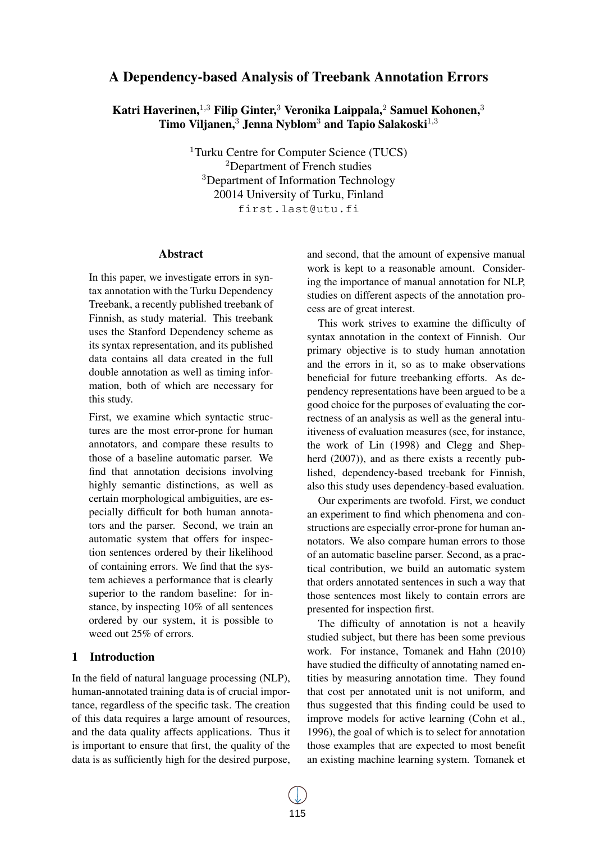# A Dependency-based Analysis of Treebank Annotation Errors

Katri Haverinen,<sup>1,3</sup> Filip Ginter,<sup>3</sup> Veronika Laippala,<sup>2</sup> Samuel Kohonen,<sup>3</sup> Timo Viljanen,<sup>3</sup> Jenna Nyblom<sup>3</sup> and Tapio Salakoski<sup>1,3</sup>

> <sup>1</sup>Turku Centre for Computer Science (TUCS) <sup>2</sup>Department of French studies <sup>3</sup>Department of Information Technology 20014 University of Turku, Finland first.last@utu.fi

#### Abstract

In this paper, we investigate errors in syntax annotation with the Turku Dependency Treebank, a recently published treebank of Finnish, as study material. This treebank uses the Stanford Dependency scheme as its syntax representation, and its published data contains all data created in the full double annotation as well as timing information, both of which are necessary for this study.

First, we examine which syntactic structures are the most error-prone for human annotators, and compare these results to those of a baseline automatic parser. We find that annotation decisions involving highly semantic distinctions, as well as certain morphological ambiguities, are especially difficult for both human annotators and the parser. Second, we train an automatic system that offers for inspection sentences ordered by their likelihood of containing errors. We find that the system achieves a performance that is clearly superior to the random baseline: for instance, by inspecting 10% of all sentences ordered by our system, it is possible to weed out 25% of errors.

## 1 Introduction

In the field of natural language processing (NLP), human-annotated training data is of crucial importance, regardless of the specific task. The creation of this data requires a large amount of resources, and the data quality affects applications. Thus it is important to ensure that first, the quality of the data is as sufficiently high for the desired purpose,

and second, that the amount of expensive manual work is kept to a reasonable amount. Considering the importance of manual annotation for NLP, studies on different aspects of the annotation process are of great interest.

This work strives to examine the difficulty of syntax annotation in the context of Finnish. Our primary objective is to study human annotation and the errors in it, so as to make observations beneficial for future treebanking efforts. As dependency representations have been argued to be a good choice for the purposes of evaluating the correctness of an analysis as well as the general intuitiveness of evaluation measures (see, for instance, the work of Lin (1998) and Clegg and Shepherd (2007)), and as there exists a recently published, dependency-based treebank for Finnish, also this study uses dependency-based evaluation.

Our experiments are twofold. First, we conduct an experiment to find which phenomena and constructions are especially error-prone for human annotators. We also compare human errors to those of an automatic baseline parser. Second, as a practical contribution, we build an automatic system that orders annotated sentences in such a way that those sentences most likely to contain errors are presented for inspection first.

The difficulty of annotation is not a heavily studied subject, but there has been some previous work. For instance, Tomanek and Hahn (2010) have studied the difficulty of annotating named entities by measuring annotation time. They found that cost per annotated unit is not uniform, and thus suggested that this finding could be used to improve models for active learning (Cohn et al., 1996), the goal of which is to select for annotation those examples that are expected to most benefit an existing machine learning system. Tomanek et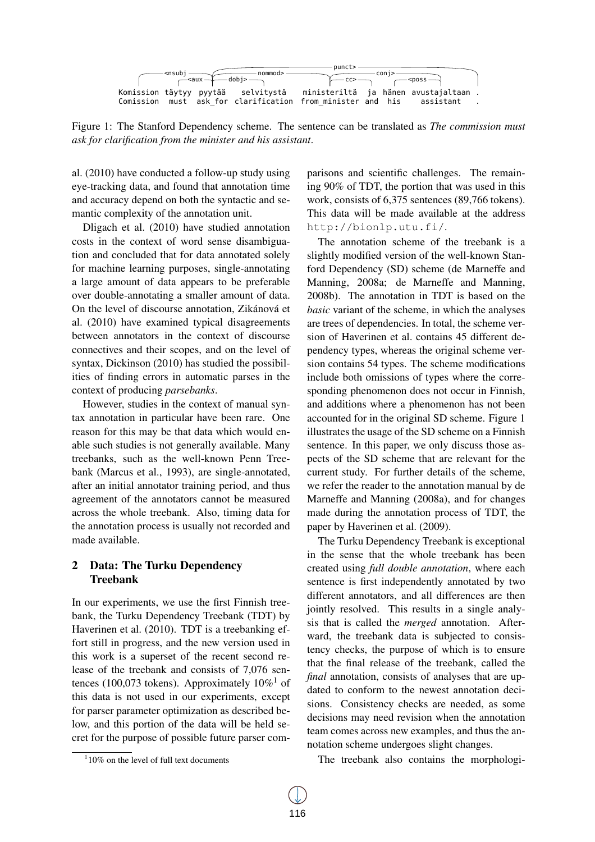

Figure 1: The Stanford Dependency scheme. The sentence can be translated as *The commission must ask for clarification from the minister and his assistant*.

al. (2010) have conducted a follow-up study using eye-tracking data, and found that annotation time and accuracy depend on both the syntactic and semantic complexity of the annotation unit.

Dligach et al. (2010) have studied annotation costs in the context of word sense disambiguation and concluded that for data annotated solely for machine learning purposes, single-annotating a large amount of data appears to be preferable over double-annotating a smaller amount of data. On the level of discourse annotation, Zikánová et al. (2010) have examined typical disagreements between annotators in the context of discourse connectives and their scopes, and on the level of syntax, Dickinson (2010) has studied the possibilities of finding errors in automatic parses in the context of producing *parsebanks*.

However, studies in the context of manual syntax annotation in particular have been rare. One reason for this may be that data which would enable such studies is not generally available. Many treebanks, such as the well-known Penn Treebank (Marcus et al., 1993), are single-annotated, after an initial annotator training period, and thus agreement of the annotators cannot be measured across the whole treebank. Also, timing data for the annotation process is usually not recorded and made available.

# 2 Data: The Turku Dependency Treebank

In our experiments, we use the first Finnish treebank, the Turku Dependency Treebank (TDT) by Haverinen et al. (2010). TDT is a treebanking effort still in progress, and the new version used in this work is a superset of the recent second release of the treebank and consists of 7,076 sentences (100,073 tokens). Approximately  $10\%$ <sup>1</sup> of this data is not used in our experiments, except for parser parameter optimization as described below, and this portion of the data will be held secret for the purpose of possible future parser com-

parisons and scientific challenges. The remaining 90% of TDT, the portion that was used in this work, consists of 6,375 sentences (89,766 tokens). This data will be made available at the address http://bionlp.utu.fi/.

The annotation scheme of the treebank is a slightly modified version of the well-known Stanford Dependency (SD) scheme (de Marneffe and Manning, 2008a; de Marneffe and Manning, 2008b). The annotation in TDT is based on the *basic* variant of the scheme, in which the analyses are trees of dependencies. In total, the scheme version of Haverinen et al. contains 45 different dependency types, whereas the original scheme version contains 54 types. The scheme modifications include both omissions of types where the corresponding phenomenon does not occur in Finnish, and additions where a phenomenon has not been accounted for in the original SD scheme. Figure 1 illustrates the usage of the SD scheme on a Finnish sentence. In this paper, we only discuss those aspects of the SD scheme that are relevant for the current study. For further details of the scheme, we refer the reader to the annotation manual by de Marneffe and Manning (2008a), and for changes made during the annotation process of TDT, the paper by Haverinen et al. (2009).

The Turku Dependency Treebank is exceptional in the sense that the whole treebank has been created using *full double annotation*, where each sentence is first independently annotated by two different annotators, and all differences are then jointly resolved. This results in a single analysis that is called the *merged* annotation. Afterward, the treebank data is subjected to consistency checks, the purpose of which is to ensure that the final release of the treebank, called the *final* annotation, consists of analyses that are updated to conform to the newest annotation decisions. Consistency checks are needed, as some decisions may need revision when the annotation team comes across new examples, and thus the annotation scheme undergoes slight changes.

The treebank also contains the morphologi-

<sup>1</sup> 10% on the level of full text documents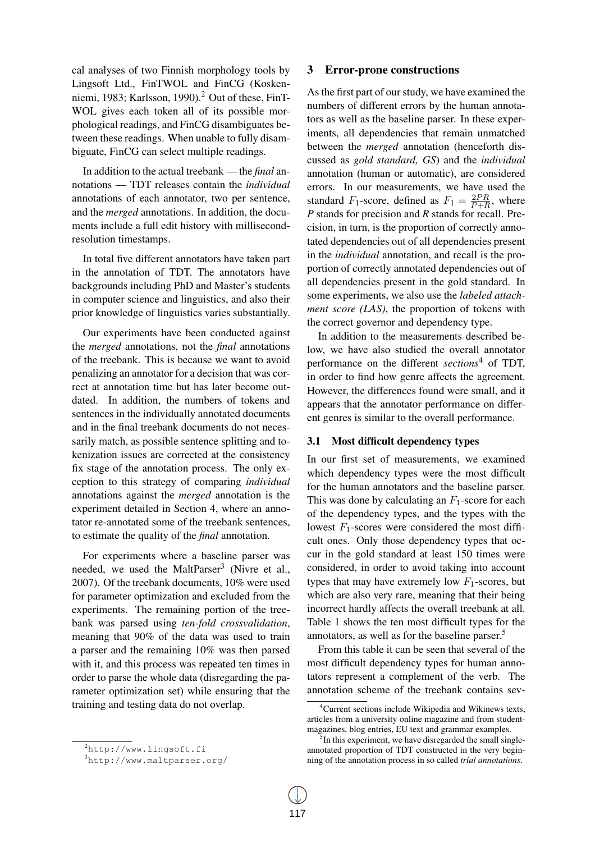cal analyses of two Finnish morphology tools by Lingsoft Ltd., FinTWOL and FinCG (Koskenniemi, 1983; Karlsson, 1990).<sup>2</sup> Out of these, FinT-WOL gives each token all of its possible morphological readings, and FinCG disambiguates between these readings. When unable to fully disambiguate, FinCG can select multiple readings.

In addition to the actual treebank — the *final* annotations — TDT releases contain the *individual* annotations of each annotator, two per sentence, and the *merged* annotations. In addition, the documents include a full edit history with millisecondresolution timestamps.

In total five different annotators have taken part in the annotation of TDT. The annotators have backgrounds including PhD and Master's students in computer science and linguistics, and also their prior knowledge of linguistics varies substantially.

Our experiments have been conducted against the *merged* annotations, not the *final* annotations of the treebank. This is because we want to avoid penalizing an annotator for a decision that was correct at annotation time but has later become outdated. In addition, the numbers of tokens and sentences in the individually annotated documents and in the final treebank documents do not necessarily match, as possible sentence splitting and tokenization issues are corrected at the consistency fix stage of the annotation process. The only exception to this strategy of comparing *individual* annotations against the *merged* annotation is the experiment detailed in Section 4, where an annotator re-annotated some of the treebank sentences, to estimate the quality of the *final* annotation.

For experiments where a baseline parser was needed, we used the MaltParser<sup>3</sup> (Nivre et al., 2007). Of the treebank documents, 10% were used for parameter optimization and excluded from the experiments. The remaining portion of the treebank was parsed using *ten-fold crossvalidation*, meaning that 90% of the data was used to train a parser and the remaining 10% was then parsed with it, and this process was repeated ten times in order to parse the whole data (disregarding the parameter optimization set) while ensuring that the training and testing data do not overlap.

## 3 Error-prone constructions

As the first part of our study, we have examined the numbers of different errors by the human annotators as well as the baseline parser. In these experiments, all dependencies that remain unmatched between the *merged* annotation (henceforth discussed as *gold standard, GS*) and the *individual* annotation (human or automatic), are considered errors. In our measurements, we have used the standard  $F_1$ -score, defined as  $F_1 = \frac{2PR}{P+R}$  $\frac{2PR}{P+R}$ , where *P* stands for precision and *R* stands for recall. Precision, in turn, is the proportion of correctly annotated dependencies out of all dependencies present in the *individual* annotation, and recall is the proportion of correctly annotated dependencies out of all dependencies present in the gold standard. In some experiments, we also use the *labeled attachment score (LAS)*, the proportion of tokens with the correct governor and dependency type.

In addition to the measurements described below, we have also studied the overall annotator performance on the different *sections*<sup>4</sup> of TDT, in order to find how genre affects the agreement. However, the differences found were small, and it appears that the annotator performance on different genres is similar to the overall performance.

## 3.1 Most difficult dependency types

In our first set of measurements, we examined which dependency types were the most difficult for the human annotators and the baseline parser. This was done by calculating an  $F_1$ -score for each of the dependency types, and the types with the lowest  $F_1$ -scores were considered the most difficult ones. Only those dependency types that occur in the gold standard at least 150 times were considered, in order to avoid taking into account types that may have extremely low  $F_1$ -scores, but which are also very rare, meaning that their being incorrect hardly affects the overall treebank at all. Table 1 shows the ten most difficult types for the annotators, as well as for the baseline parser.<sup>5</sup>

From this table it can be seen that several of the most difficult dependency types for human annotators represent a complement of the verb. The annotation scheme of the treebank contains sev-

<sup>2</sup>http://www.lingsoft.fi

<sup>3</sup>http://www.maltparser.org/

<sup>4</sup>Current sections include Wikipedia and Wikinews texts, articles from a university online magazine and from studentmagazines, blog entries, EU text and grammar examples.

<sup>&</sup>lt;sup>5</sup>In this experiment, we have disregarded the small singleannotated proportion of TDT constructed in the very beginning of the annotation process in so called *trial annotations*.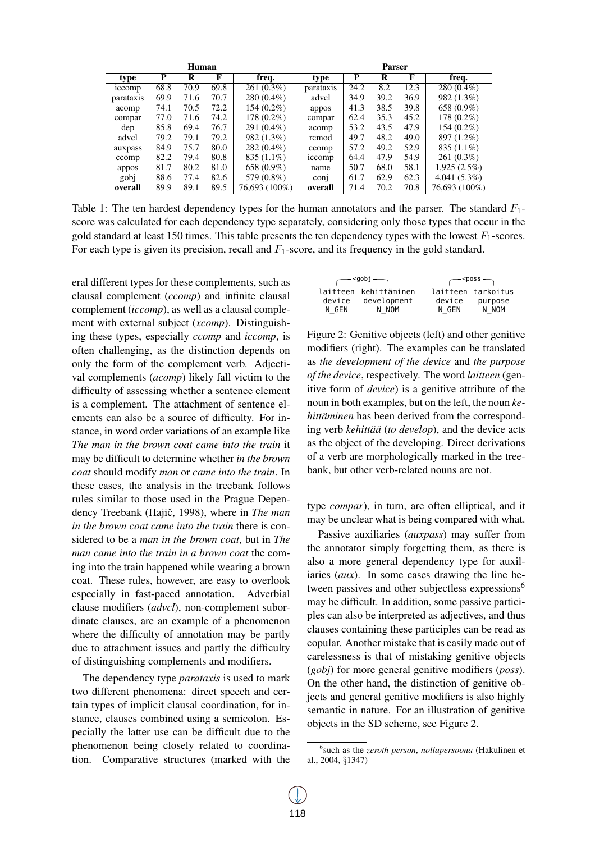| Human     |      |      |      |               |                  | <b>Parser</b> |      |      |                |
|-----------|------|------|------|---------------|------------------|---------------|------|------|----------------|
| type      | P    | R    | F    | freq.         | type             | P             | R    | F    | freq.          |
| 1ccomp    | 68.8 | 70.9 | 69.8 | $261(0.3\%)$  | parataxis        | 24.2          | 8.2  | 12.3 | 280 (0.4%)     |
| parataxis | 69.9 | 71.6 | 70.7 | $280(0.4\%)$  | advcl            | 34.9          | 39.2 | 36.9 | 982 (1.3%)     |
| acomp     | 74.1 | 70.5 | 72.2 | $154(0.2\%)$  | appos            | 41.3          | 38.5 | 39.8 | 658 (0.9%)     |
| compar    | 77.0 | 71.6 | 74.2 | $178(0.2\%)$  | compar           | 62.4          | 35.3 | 45.2 | 178 (0.2%)     |
| dep       | 85.8 | 69.4 | 76.7 | $291(0.4\%)$  | acomp            | 53.2          | 43.5 | 47.9 | 154 (0.2%)     |
| advcl     | 79.2 | 79.1 | 79.2 | 982 (1.3%)    | rcmod            | 49.7          | 48.2 | 49.0 | 897 (1.2%)     |
| auxpass   | 84.9 | 75.7 | 80.0 | $282(0.4\%)$  | ccomp            | 57.2          | 49.2 | 52.9 | $835(1.1\%)$   |
| ccomp     | 82.2 | 79.4 | 80.8 | $835(1.1\%)$  | iccomp           | 64.4          | 47.9 | 54.9 | $261(0.3\%)$   |
| appos     | 81.7 | 80.2 | 81.0 | $658(0.9\%)$  | name             | 50.7          | 68.0 | 58.1 | $1,925(2.5\%)$ |
| gobj      | 88.6 | 77.4 | 82.6 | 579 (0.8%)    | con <sub>1</sub> | 61.7          | 62.9 | 62.3 | $4,041(5.3\%)$ |
| overall   | 89.9 | 89.1 | 89.5 | 76.693 (100%) | overall          | 71.4          | 70.2 | 70.8 | 76,693 (100%)  |

Table 1: The ten hardest dependency types for the human annotators and the parser. The standard  $F_1$ score was calculated for each dependency type separately, considering only those types that occur in the gold standard at least 150 times. This table presents the ten dependency types with the lowest  $F_1$ -scores. For each type is given its precision, recall and  $F_1$ -score, and its frequency in the gold standard.

eral different types for these complements, such as clausal complement (*ccomp*) and infinite clausal complement (*iccomp*), as well as a clausal complement with external subject (*xcomp*). Distinguishing these types, especially *ccomp* and *iccomp*, is often challenging, as the distinction depends on only the form of the complement verb. Adjectival complements (*acomp*) likely fall victim to the difficulty of assessing whether a sentence element is a complement. The attachment of sentence elements can also be a source of difficulty. For instance, in word order variations of an example like *The man in the brown coat came into the train* it may be difficult to determine whether *in the brown coat* should modify *man* or *came into the train*. In these cases, the analysis in the treebank follows rules similar to those used in the Prague Dependency Treebank (Hajič, 1998), where in *The man in the brown coat came into the train* there is considered to be a *man in the brown coat*, but in *The man came into the train in a brown coat* the coming into the train happened while wearing a brown coat. These rules, however, are easy to overlook especially in fast-paced annotation. Adverbial clause modifiers (*advcl*), non-complement subordinate clauses, are an example of a phenomenon where the difficulty of annotation may be partly due to attachment issues and partly the difficulty of distinguishing complements and modifiers.

The dependency type *parataxis* is used to mark two different phenomena: direct speech and certain types of implicit clausal coordination, for instance, clauses combined using a semicolon. Especially the latter use can be difficult due to the phenomenon being closely related to coordination. Comparative structures (marked with the

|        | $\overline{\phantom{0}}$ <gobj <math="">\overline{\phantom{0}}</gobj> | $\overline{\phantom{0}}$ <poss <math="">\overline{\phantom{0}}</poss> |                    |  |  |
|--------|-----------------------------------------------------------------------|-----------------------------------------------------------------------|--------------------|--|--|
|        | laitteen kehittäminen                                                 |                                                                       | laitteen tarkoitus |  |  |
| device | development                                                           | device                                                                | purpose            |  |  |
| N GEN  | N NOM                                                                 | N GEN                                                                 | N NOM              |  |  |

Figure 2: Genitive objects (left) and other genitive modifiers (right). The examples can be translated as *the development of the device* and *the purpose of the device*, respectively. The word *laitteen* (genitive form of *device*) is a genitive attribute of the noun in both examples, but on the left, the noun *kehittäminen* has been derived from the corresponding verb *kehittää* (*to develop*), and the device acts as the object of the developing. Direct derivations of a verb are morphologically marked in the treebank, but other verb-related nouns are not.

type *compar*), in turn, are often elliptical, and it may be unclear what is being compared with what.

Passive auxiliaries (*auxpass*) may suffer from the annotator simply forgetting them, as there is also a more general dependency type for auxiliaries (*aux*). In some cases drawing the line between passives and other subjectless expressions<sup>6</sup> may be difficult. In addition, some passive participles can also be interpreted as adjectives, and thus clauses containing these participles can be read as copular. Another mistake that is easily made out of carelessness is that of mistaking genitive objects (*gobj*) for more general genitive modifiers (*poss*). On the other hand, the distinction of genitive objects and general genitive modifiers is also highly semantic in nature. For an illustration of genitive objects in the SD scheme, see Figure 2.

<sup>6</sup> such as the *zeroth person*, *nollapersoona* (Hakulinen et al., 2004, §1347)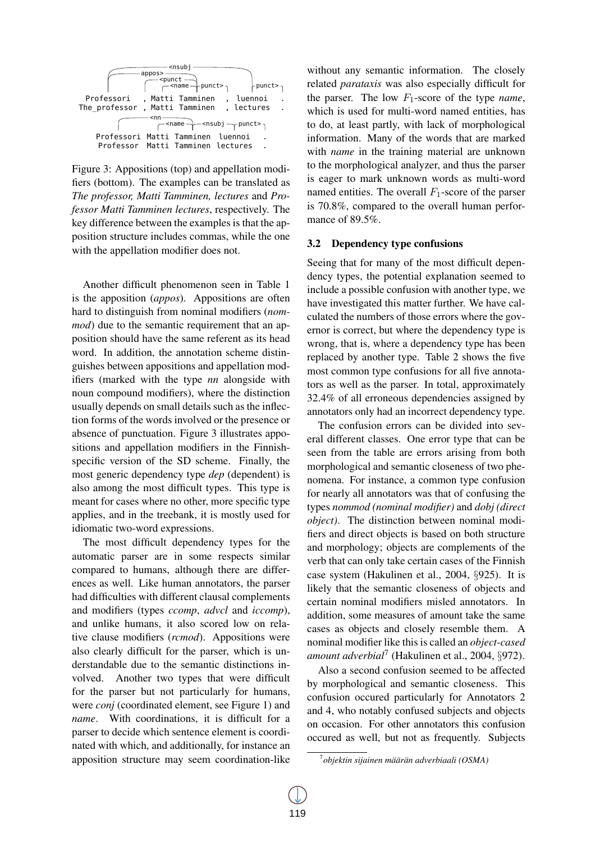

Figure 3: Appositions (top) and appellation modifiers (bottom). The examples can be translated as *The professor, Matti Tamminen, lectures* and *Professor Matti Tamminen lectures*, respectively. The key difference between the examples is that the apposition structure includes commas, while the one with the appellation modifier does not.

Another difficult phenomenon seen in Table 1 is the apposition (*appos*). Appositions are often hard to distinguish from nominal modifiers (*nommod*) due to the semantic requirement that an apposition should have the same referent as its head word. In addition, the annotation scheme distinguishes between appositions and appellation modifiers (marked with the type *nn* alongside with noun compound modifiers), where the distinction usually depends on small details such as the inflection forms of the words involved or the presence or absence of punctuation. Figure 3 illustrates appositions and appellation modifiers in the Finnishspecific version of the SD scheme. Finally, the most generic dependency type *dep* (dependent) is also among the most difficult types. This type is meant for cases where no other, more specific type applies, and in the treebank, it is mostly used for idiomatic two-word expressions.

The most difficult dependency types for the automatic parser are in some respects similar compared to humans, although there are differences as well. Like human annotators, the parser had difficulties with different clausal complements and modifiers (types *ccomp*, *advcl* and *iccomp*), and unlike humans, it also scored low on relative clause modifiers (*rcmod*). Appositions were also clearly difficult for the parser, which is understandable due to the semantic distinctions involved. Another two types that were difficult for the parser but not particularly for humans, were *conj* (coordinated element, see Figure 1) and *name*. With coordinations, it is difficult for a parser to decide which sentence element is coordinated with which, and additionally, for instance an apposition structure may seem coordination-like

without any semantic information. The closely related *parataxis* was also especially difficult for the parser. The low  $F_1$ -score of the type *name*, which is used for multi-word named entities, has to do, at least partly, with lack of morphological information. Many of the words that are marked with *name* in the training material are unknown to the morphological analyzer, and thus the parser is eager to mark unknown words as multi-word named entities. The overall  $F_1$ -score of the parser is 70.8%, compared to the overall human performance of 89.5%.

#### 3.2 Dependency type confusions

Seeing that for many of the most difficult dependency types, the potential explanation seemed to include a possible confusion with another type, we have investigated this matter further. We have calculated the numbers of those errors where the governor is correct, but where the dependency type is wrong, that is, where a dependency type has been replaced by another type. Table 2 shows the five most common type confusions for all five annotators as well as the parser. In total, approximately 32.4% of all erroneous dependencies assigned by annotators only had an incorrect dependency type.

The confusion errors can be divided into several different classes. One error type that can be seen from the table are errors arising from both morphological and semantic closeness of two phenomena. For instance, a common type confusion for nearly all annotators was that of confusing the types *nommod (nominal modifier)* and *dobj (direct object)*. The distinction between nominal modifiers and direct objects is based on both structure and morphology; objects are complements of the verb that can only take certain cases of the Finnish case system (Hakulinen et al., 2004, §925). It is likely that the semantic closeness of objects and certain nominal modifiers misled annotators. In addition, some measures of amount take the same cases as objects and closely resemble them. A nominal modifier like this is called an *object-cased amount adverbial*<sup>7</sup> (Hakulinen et al., 2004, §972).

Also a second confusion seemed to be affected by morphological and semantic closeness. This confusion occured particularly for Annotators 2 and 4, who notably confused subjects and objects on occasion. For other annotators this confusion occured as well, but not as frequently. Subjects

 $^7$ objektin sijainen määrän adverbiaali (OSMA)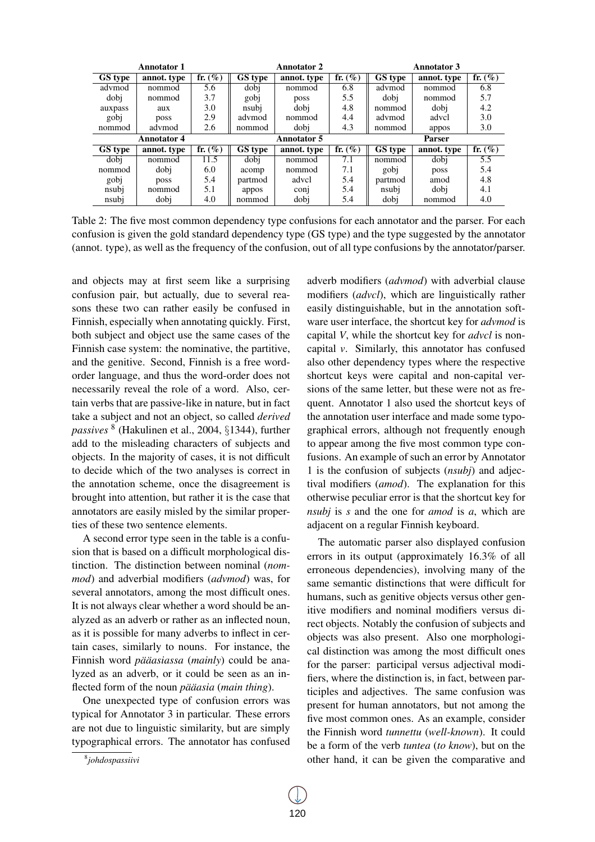|                | <b>Annotator 1</b> |            | Annotator 2                 |                    |            | <b>Annotator 3</b> |               |            |
|----------------|--------------------|------------|-----------------------------|--------------------|------------|--------------------|---------------|------------|
| GS type        | annot. type        | fr. $(\%)$ | <b>GS</b> type              | annot. type        | fr. $(\%)$ | <b>GS</b> type     | annot. type   | fr. $(\%)$ |
| advmod         | nommod             | 5.6        | dobi                        | nommod             | 6.8        | advmod             | nommod        | 6.8        |
| dobi           | nommod             | 3.7        | gobj                        | poss               | 5.5        | dobi               | nommod        | 5.7        |
| auxpass        | aux                | 3.0        | nsubj                       | dobi               | 4.8        | nommod             | dobi          | 4.2        |
| gobj           | poss               | 2.9        | advmod                      | nommod             | 4.4        | advmod             | advcl         | 3.0        |
| nommod         | advmod             | 2.6        | nommod                      | dobi               | 4.3        | nommod             | appos         | 3.0        |
|                | <b>Annotator 4</b> |            |                             | <b>Annotator 5</b> |            |                    | <b>Parser</b> |            |
| <b>GS</b> type | annot. type        | fr. $(\%)$ | $\overline{\text{GS}}$ type | annot. type        | fr. $(\%)$ | GS type            | annot. type   | fr. $(\%)$ |
| dobi           | nommod             | 11.5       | dobi                        | nommod             | 7.1        | nommod             | dobi          | 5.5        |
| nommod         | dobi               | 6.0        | acomp                       | nommod             | 7.1        | gobj               | poss          | 5.4        |
| gobj           | poss               | 5.4        | partmod                     | advcl              | 5.4        | partmod            | amod          | 4.8        |
| nsubj          | nommod             | 5.1        | appos                       | con <sub>1</sub>   | 5.4        | nsubj              | dobi          | 4.1        |
| nsubj          | dobi               | 4.0        | nommod                      | dobi               | 5.4        | dobi               | nommod        | 4.0        |

Table 2: The five most common dependency type confusions for each annotator and the parser. For each confusion is given the gold standard dependency type (GS type) and the type suggested by the annotator (annot. type), as well as the frequency of the confusion, out of all type confusions by the annotator/parser.

and objects may at first seem like a surprising confusion pair, but actually, due to several reasons these two can rather easily be confused in Finnish, especially when annotating quickly. First, both subject and object use the same cases of the Finnish case system: the nominative, the partitive, and the genitive. Second, Finnish is a free wordorder language, and thus the word-order does not necessarily reveal the role of a word. Also, certain verbs that are passive-like in nature, but in fact take a subject and not an object, so called *derived passives* <sup>8</sup> (Hakulinen et al., 2004, §1344), further add to the misleading characters of subjects and objects. In the majority of cases, it is not difficult to decide which of the two analyses is correct in the annotation scheme, once the disagreement is brought into attention, but rather it is the case that annotators are easily misled by the similar properties of these two sentence elements.

A second error type seen in the table is a confusion that is based on a difficult morphological distinction. The distinction between nominal (*nommod*) and adverbial modifiers (*advmod*) was, for several annotators, among the most difficult ones. It is not always clear whether a word should be analyzed as an adverb or rather as an inflected noun, as it is possible for many adverbs to inflect in certain cases, similarly to nouns. For instance, the Finnish word *pääasiassa* (*mainly*) could be analyzed as an adverb, or it could be seen as an inflected form of the noun *pääasia* (*main thing*).

One unexpected type of confusion errors was typical for Annotator 3 in particular. These errors are not due to linguistic similarity, but are simply typographical errors. The annotator has confused

adverb modifiers (*advmod*) with adverbial clause modifiers (*advcl*), which are linguistically rather easily distinguishable, but in the annotation software user interface, the shortcut key for *advmod* is capital *V*, while the shortcut key for *advcl* is noncapital *v*. Similarly, this annotator has confused also other dependency types where the respective shortcut keys were capital and non-capital versions of the same letter, but these were not as frequent. Annotator 1 also used the shortcut keys of the annotation user interface and made some typographical errors, although not frequently enough to appear among the five most common type confusions. An example of such an error by Annotator 1 is the confusion of subjects (*nsubj*) and adjectival modifiers (*amod*). The explanation for this otherwise peculiar error is that the shortcut key for *nsubj* is *s* and the one for *amod* is *a*, which are adjacent on a regular Finnish keyboard.

The automatic parser also displayed confusion errors in its output (approximately 16.3% of all erroneous dependencies), involving many of the same semantic distinctions that were difficult for humans, such as genitive objects versus other genitive modifiers and nominal modifiers versus direct objects. Notably the confusion of subjects and objects was also present. Also one morphological distinction was among the most difficult ones for the parser: participal versus adjectival modifiers, where the distinction is, in fact, between participles and adjectives. The same confusion was present for human annotators, but not among the five most common ones. As an example, consider the Finnish word *tunnettu* (*well-known*). It could be a form of the verb *tuntea* (*to know*), but on the other hand, it can be given the comparative and

<sup>8</sup> *johdospassiivi*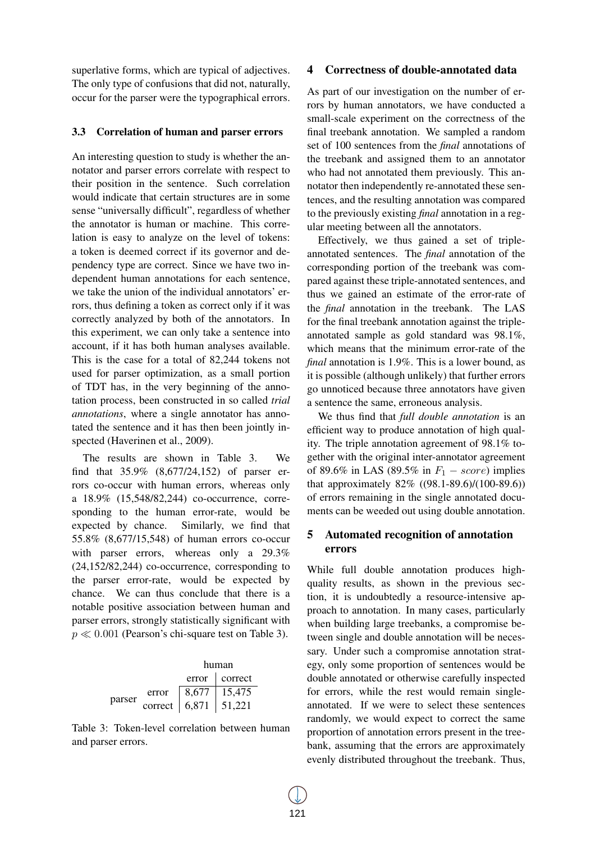superlative forms, which are typical of adjectives. The only type of confusions that did not, naturally, occur for the parser were the typographical errors.

### 3.3 Correlation of human and parser errors

An interesting question to study is whether the annotator and parser errors correlate with respect to their position in the sentence. Such correlation would indicate that certain structures are in some sense "universally difficult", regardless of whether the annotator is human or machine. This correlation is easy to analyze on the level of tokens: a token is deemed correct if its governor and dependency type are correct. Since we have two independent human annotations for each sentence, we take the union of the individual annotators' errors, thus defining a token as correct only if it was correctly analyzed by both of the annotators. In this experiment, we can only take a sentence into account, if it has both human analyses available. This is the case for a total of 82,244 tokens not used for parser optimization, as a small portion of TDT has, in the very beginning of the annotation process, been constructed in so called *trial annotations*, where a single annotator has annotated the sentence and it has then been jointly inspected (Haverinen et al., 2009).

The results are shown in Table 3. We find that 35.9% (8,677/24,152) of parser errors co-occur with human errors, whereas only a 18.9% (15,548/82,244) co-occurrence, corresponding to the human error-rate, would be expected by chance. Similarly, we find that 55.8% (8,677/15,548) of human errors co-occur with parser errors, whereas only a 29.3% (24,152/82,244) co-occurrence, corresponding to the parser error-rate, would be expected by chance. We can thus conclude that there is a notable positive association between human and parser errors, strongly statistically significant with  $p \ll 0.001$  (Pearson's chi-square test on Table 3).

|        |                             | human |         |  |  |
|--------|-----------------------------|-------|---------|--|--|
|        |                             | error | correct |  |  |
|        | error                       | 8,677 | 15,475  |  |  |
| parser | correct $\vert 6,871 \vert$ |       | 51.221  |  |  |

Table 3: Token-level correlation between human and parser errors.

### 4 Correctness of double-annotated data

As part of our investigation on the number of errors by human annotators, we have conducted a small-scale experiment on the correctness of the final treebank annotation. We sampled a random set of 100 sentences from the *final* annotations of the treebank and assigned them to an annotator who had not annotated them previously. This annotator then independently re-annotated these sentences, and the resulting annotation was compared to the previously existing *final* annotation in a regular meeting between all the annotators.

Effectively, we thus gained a set of tripleannotated sentences. The *final* annotation of the corresponding portion of the treebank was compared against these triple-annotated sentences, and thus we gained an estimate of the error-rate of the *final* annotation in the treebank. The LAS for the final treebank annotation against the tripleannotated sample as gold standard was 98.1%, which means that the minimum error-rate of the *final* annotation is 1.9%. This is a lower bound, as it is possible (although unlikely) that further errors go unnoticed because three annotators have given a sentence the same, erroneous analysis.

We thus find that *full double annotation* is an efficient way to produce annotation of high quality. The triple annotation agreement of 98.1% together with the original inter-annotator agreement of 89.6% in LAS (89.5% in  $F_1$  – score) implies that approximately 82% ((98.1-89.6)/(100-89.6)) of errors remaining in the single annotated documents can be weeded out using double annotation.

# 5 Automated recognition of annotation errors

While full double annotation produces highquality results, as shown in the previous section, it is undoubtedly a resource-intensive approach to annotation. In many cases, particularly when building large treebanks, a compromise between single and double annotation will be necessary. Under such a compromise annotation strategy, only some proportion of sentences would be double annotated or otherwise carefully inspected for errors, while the rest would remain singleannotated. If we were to select these sentences randomly, we would expect to correct the same proportion of annotation errors present in the treebank, assuming that the errors are approximately evenly distributed throughout the treebank. Thus,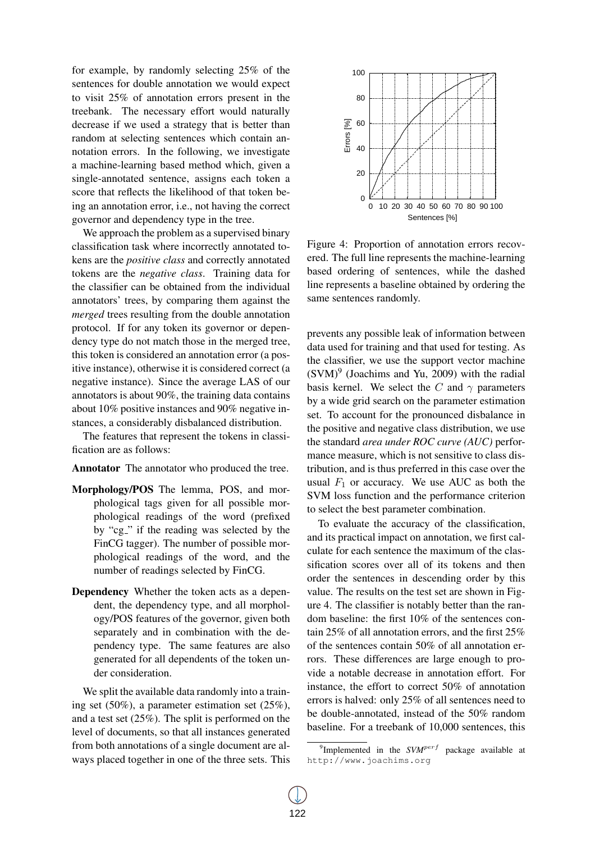for example, by randomly selecting 25% of the sentences for double annotation we would expect to visit 25% of annotation errors present in the treebank. The necessary effort would naturally decrease if we used a strategy that is better than random at selecting sentences which contain annotation errors. In the following, we investigate a machine-learning based method which, given a single-annotated sentence, assigns each token a score that reflects the likelihood of that token being an annotation error, i.e., not having the correct governor and dependency type in the tree.

We approach the problem as a supervised binary classification task where incorrectly annotated tokens are the *positive class* and correctly annotated tokens are the *negative class*. Training data for the classifier can be obtained from the individual annotators' trees, by comparing them against the *merged* trees resulting from the double annotation protocol. If for any token its governor or dependency type do not match those in the merged tree, this token is considered an annotation error (a positive instance), otherwise it is considered correct (a negative instance). Since the average LAS of our annotators is about 90%, the training data contains about 10% positive instances and 90% negative instances, a considerably disbalanced distribution.

The features that represent the tokens in classification are as follows:

Annotator The annotator who produced the tree.

- Morphology/POS The lemma, POS, and morphological tags given for all possible morphological readings of the word (prefixed by "cg<sub>-</sub>" if the reading was selected by the FinCG tagger). The number of possible morphological readings of the word, and the number of readings selected by FinCG.
- Dependency Whether the token acts as a dependent, the dependency type, and all morphology/POS features of the governor, given both separately and in combination with the dependency type. The same features are also generated for all dependents of the token under consideration.

We split the available data randomly into a training set (50%), a parameter estimation set (25%), and a test set (25%). The split is performed on the level of documents, so that all instances generated from both annotations of a single document are always placed together in one of the three sets. This



Figure 4: Proportion of annotation errors recovered. The full line represents the machine-learning based ordering of sentences, while the dashed line represents a baseline obtained by ordering the same sentences randomly.

prevents any possible leak of information between data used for training and that used for testing. As the classifier, we use the support vector machine  $(SVM)^9$  (Joachims and Yu, 2009) with the radial basis kernel. We select the C and  $\gamma$  parameters by a wide grid search on the parameter estimation set. To account for the pronounced disbalance in the positive and negative class distribution, we use the standard *area under ROC curve (AUC)* performance measure, which is not sensitive to class distribution, and is thus preferred in this case over the usual  $F_1$  or accuracy. We use AUC as both the SVM loss function and the performance criterion to select the best parameter combination.

To evaluate the accuracy of the classification, and its practical impact on annotation, we first calculate for each sentence the maximum of the classification scores over all of its tokens and then order the sentences in descending order by this value. The results on the test set are shown in Figure 4. The classifier is notably better than the random baseline: the first 10% of the sentences contain 25% of all annotation errors, and the first 25% of the sentences contain 50% of all annotation errors. These differences are large enough to provide a notable decrease in annotation effort. For instance, the effort to correct 50% of annotation errors is halved: only 25% of all sentences need to be double-annotated, instead of the 50% random baseline. For a treebank of 10,000 sentences, this

<sup>&</sup>lt;sup>9</sup>Implemented in the *SVM*<sup>perf</sup> package available at http://www.joachims.org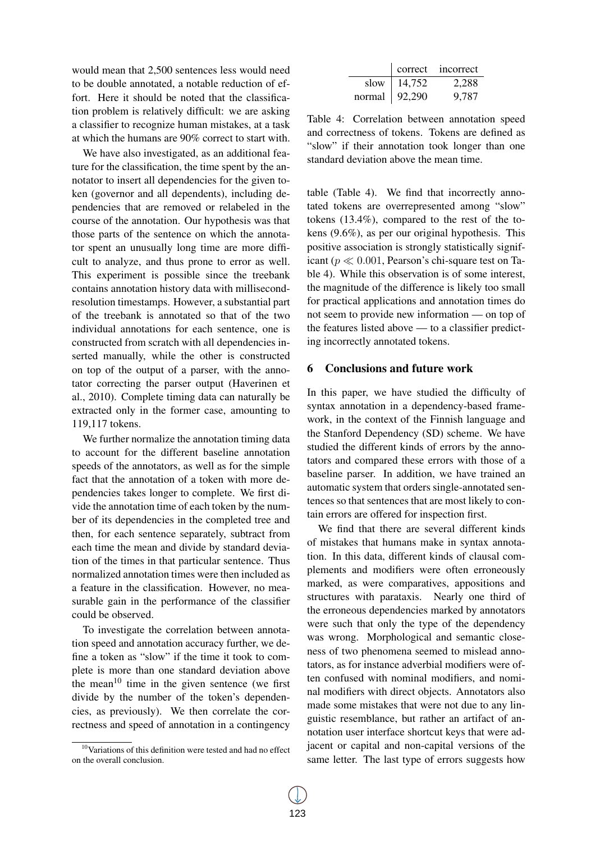would mean that 2,500 sentences less would need to be double annotated, a notable reduction of effort. Here it should be noted that the classification problem is relatively difficult: we are asking a classifier to recognize human mistakes, at a task at which the humans are 90% correct to start with.

We have also investigated, as an additional feature for the classification, the time spent by the annotator to insert all dependencies for the given token (governor and all dependents), including dependencies that are removed or relabeled in the course of the annotation. Our hypothesis was that those parts of the sentence on which the annotator spent an unusually long time are more difficult to analyze, and thus prone to error as well. This experiment is possible since the treebank contains annotation history data with millisecondresolution timestamps. However, a substantial part of the treebank is annotated so that of the two individual annotations for each sentence, one is constructed from scratch with all dependencies inserted manually, while the other is constructed on top of the output of a parser, with the annotator correcting the parser output (Haverinen et al., 2010). Complete timing data can naturally be extracted only in the former case, amounting to 119,117 tokens.

We further normalize the annotation timing data to account for the different baseline annotation speeds of the annotators, as well as for the simple fact that the annotation of a token with more dependencies takes longer to complete. We first divide the annotation time of each token by the number of its dependencies in the completed tree and then, for each sentence separately, subtract from each time the mean and divide by standard deviation of the times in that particular sentence. Thus normalized annotation times were then included as a feature in the classification. However, no measurable gain in the performance of the classifier could be observed.

To investigate the correlation between annotation speed and annotation accuracy further, we define a token as "slow" if the time it took to complete is more than one standard deviation above the mean<sup>10</sup> time in the given sentence (we first divide by the number of the token's dependencies, as previously). We then correlate the correctness and speed of annotation in a contingency

|        | correct | incorrect |
|--------|---------|-----------|
| slow   | 14,752  | 2.288     |
| normal | 192.290 | 9.787     |

Table 4: Correlation between annotation speed and correctness of tokens. Tokens are defined as "slow" if their annotation took longer than one standard deviation above the mean time.

table (Table 4). We find that incorrectly annotated tokens are overrepresented among "slow" tokens (13.4%), compared to the rest of the tokens (9.6%), as per our original hypothesis. This positive association is strongly statistically significant ( $p \ll 0.001$ , Pearson's chi-square test on Table 4). While this observation is of some interest, the magnitude of the difference is likely too small for practical applications and annotation times do not seem to provide new information — on top of the features listed above — to a classifier predicting incorrectly annotated tokens.

### 6 Conclusions and future work

In this paper, we have studied the difficulty of syntax annotation in a dependency-based framework, in the context of the Finnish language and the Stanford Dependency (SD) scheme. We have studied the different kinds of errors by the annotators and compared these errors with those of a baseline parser. In addition, we have trained an automatic system that orders single-annotated sentences so that sentences that are most likely to contain errors are offered for inspection first.

We find that there are several different kinds of mistakes that humans make in syntax annotation. In this data, different kinds of clausal complements and modifiers were often erroneously marked, as were comparatives, appositions and structures with parataxis. Nearly one third of the erroneous dependencies marked by annotators were such that only the type of the dependency was wrong. Morphological and semantic closeness of two phenomena seemed to mislead annotators, as for instance adverbial modifiers were often confused with nominal modifiers, and nominal modifiers with direct objects. Annotators also made some mistakes that were not due to any linguistic resemblance, but rather an artifact of annotation user interface shortcut keys that were adjacent or capital and non-capital versions of the same letter. The last type of errors suggests how

 $10$ Variations of this definition were tested and had no effect on the overall conclusion.